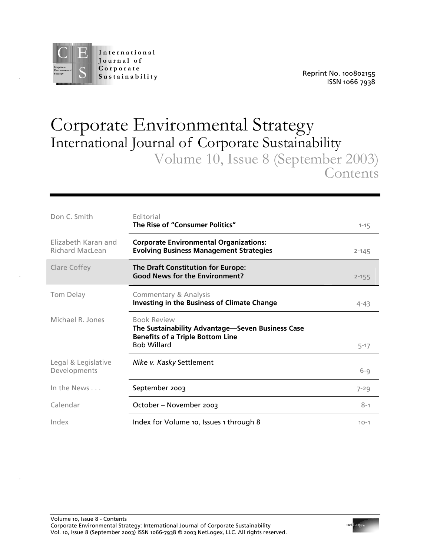

.

.

.

# Corporate Environmental Strategy International Journal of Corporate Sustainability Volume 10, Issue 8 (September 2003)

**Contents** 

| Don C. Smith                                  | Editorial<br>The Rise of "Consumer Politics"                                                                                            | $1 - 15$  |
|-----------------------------------------------|-----------------------------------------------------------------------------------------------------------------------------------------|-----------|
| Elizabeth Karan and<br><b>Richard MacLean</b> | <b>Corporate Environmental Organizations:</b><br><b>Evolving Business Management Strategies</b>                                         | $2 - 145$ |
| Clare Coffey                                  | <b>The Draft Constitution for Europe:</b><br><b>Good News for the Environment?</b>                                                      | $2 - 155$ |
| Tom Delay                                     | Commentary & Analysis<br><b>Investing in the Business of Climate Change</b>                                                             | $4 - 43$  |
| Michael R. Jones                              | <b>Book Review</b><br>The Sustainability Advantage-Seven Business Case<br><b>Benefits of a Triple Bottom Line</b><br><b>Bob Willard</b> | $5 - 17$  |
| Legal & Legislative<br>Developments           | Nike v. Kasky Settlement                                                                                                                | $6 - 9$   |
| In the News                                   | September 2003                                                                                                                          | $7 - 29$  |
| Calendar                                      | October - November 2003                                                                                                                 | $8 - 1$   |
| Index                                         | Index for Volume 10, Issues 1 through 8                                                                                                 | $10 - 1$  |

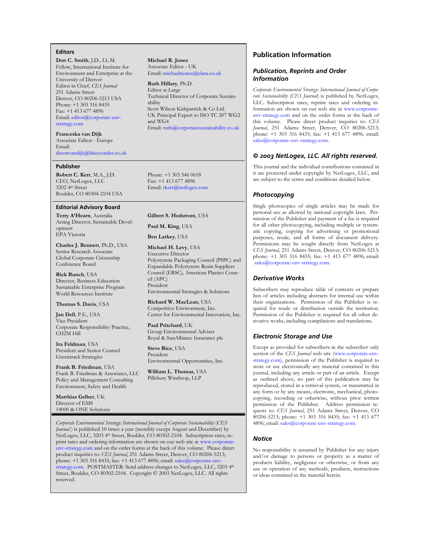### **Editors**

**Don C. Smith**, J.D., LL.M. Fellow, International Institute for Environment and Enterprise at the University of Denver Editor in Chief, *CES Journal* 251 Adams Street Denver, CO 80206-5213 USA Phone: +1 303 316 8435 Fax: +1 413 677 4896 Email: [editor@](mailto:editor@corporate-env-strategy.com)corporate-envstrategy.com

**Franceska van Dijk** Associate Editor - Europe Email: [dixonvandijk@blueyonder.co.uk](mailto:dixonvandijk@blueyonder.co.uk) 

#### **Publisher**

**Robert C. Kerr**, M.A., J.D. CEO, NetLogex, LLC 3202 4th Street Boulder, CO 80304-2104 USA

#### **Editorial Advisory Board**

**Terry A'Hearn**, Australia Acting Director, Sustainable Development EPA Victoria

**Charles J. Bennett**, Ph.D., USA Senior Research Associate Global Corporate Citizenship Conference Board

**Rick Bunch**, USA Director, Business Education Sustainable Enterprise Program World Resources Institute

#### **Thomas S. Davis**, USA

**Jan Dell**, P.E., USA Vice President Corporate Responsibility Practice, CH2M Hill

**Ira Feldman**, USA President and Senior Counsel Greentrack Strategies

**Frank B. Friedman**, USA Frank B. Friedman & Associates, LLC Policy and Management Consulting Environment, Safety and Health

**Matthias Gelber**, UK Director of EMS 14000 & ONE Solutions **Michael R. Jones** Associate Editor - UK Email: [michaelrjones@clara.co.uk](mailto:michaelrjones@clara.co.uk)

**Ruth Hillary**, Ph.D. Editor at Large Technical Director of Corporate Sustainability Scott Wilson Kirkpatrick & Co Ltd. UK Principal Expert to ISO TC 207 WG2 and WG4 Email: [ruth@corporatesustainability.co.uk](mailto:ruth@corporatesustainability.co.uk)

Phone: +1 303 546 0618 Fax: +1 413 677 4896 Email: [rkerr@netlogex.com](mailto:rkerr@netlogex.com)

**Gilbert S. Hedstrom**, USA

**Paul M. King**, USA

**Ben Larkey**, USA

**Michael H. Levy**, USA Executive Director Polystyrene Packaging Council (PSPC) and Expandable Polystyrene Resin Suppliers Council (ERSC), American Plastics Council (APC) President

Environmental Strategies & Solutions

**Richard W. MacLean**, USA Competitive Environment, Inc. Center for Environmental Innovation, Inc.

**Paul Pritchard**, UK Group Environmental Adviser Royal & SunAlliance Insurance plc

**Steve Rice**, USA President Environmental Opportunities, Inc.

**William L. Thomas**, USA Pillsbury Winthrop, LLP

## **Publication Information**

### *Publication, Reprints and Order Information*

*Corporate Environmental Strategy: International Journal of Corporate Sustainability* (*CES Journal*) is published by NetLogex, LLC. Subscription rates, reprint rates and ordering information are sh[own on our web site at](http://www.corporate-env-strategy.com/) www.corporateenv-strategy.com and on the order forms at the back of this volume. Please direct product inquiries to: *CES Journal*, 251 Adams Street, Denver, CO 80206-5213; phone: +1 303 316 8435; fax: +1 413 677 4896; email: [sales@corporate-env-strategy.com.](mailto:sales@corporate-env-strategy.com) 

## *© 2003 NetLogex, LLC. All rights reserved.*

This journal and the individual contributions contained in it are protected under copyright by NetLogex, LLC, and are subject to the terms and conditions detailed below.

#### *Photocopying*

Single photocopies of single articles may be made for personal use as allowed by national copyright laws. Permission of the Publisher and payment of a fee is required for all other photocopying, including multiple or systematic copying, copying for advertising or promotional purposes, resale, and all forms of document delivery. Permissions may be sought directly from NetLogex at *CES Journal*, 251 Adams Street, Denver, CO 80206-5213; phone: +1 303 316 8435; fax: +1 413 677 4896; email: [sales@corporate-env-strategy.com.](mailto:sales@corporate-env-strategy.com) 

## *Derivative Works*

Subscribers may reproduce table of contents or prepare lists of articles including abstracts for internal use within their organizations. Permission of the Publisher is required for resale or distribution outside the institution. Permission of the Publisher is required for all other derivative works, including compilations and translations.

### *Electronic Storage and Use*

Except as provided for subscribers in the subscriber only section of the *CES Journal* [web site \(ww](http://www.corporate-env-strategy.com/)w.corporate-envstrategy.com), permission of the Publisher is required to store or use electronically any material contained in this journal, including any article or part of an article. Except as outlined above, no part of this publication may be reproduced, stored in a retrieval system, or transmitted in any form or by any means, electronic, mechanical, photocopying, recording or otherwise, without prior written permission of the Publisher. Address permission requests to: *CES Journal*, 251 Adams Street, Denver, CO 80206-5213; phone: +1 303 316 8435; fax: +1 413 677 4896; email: [sales@corporate-env-strategy.com.](mailto:sales@corporate-env-strategy.com) 

#### *Notice*

No responsibility is assumed by Publisher for any injury and/or damage to persons or property as a matter of products liability, negligence or otherwise, or from any use or operation of any methods, products, instructions or ideas contained in the material herein.

*Corporate Environmental Strategy: International Journal of Corporate Sustainability* (*CES Journal*) is published 10 times a year (monthly except August and December) by NetLogex, LLC, 3203 4th Street, Boulder, CO 80302-2104. Subscription rates, reprint rates and ordering information are shown on our web site at www.corporateenv-strategy.com [and on the order forms at the back of this volum](http://www.corporate-env-strategy.com/)e. Please direct product inquiries to: *CES Journal*, 251 Adams Street, Denver, CO 80206-5213; phone: +1 303 316 8435; fax: +1 413 677 4896; email: sales@corporate-env-strategy.com[. POSTMASTER: Send address changes t](mailto:sales@corporate-env-strategy.com)o NetLogex, LLC, 3203 4th Street, Boulder, CO 80302-2104. Copyright © 2003 NetLogex, LLC. All rights reserved.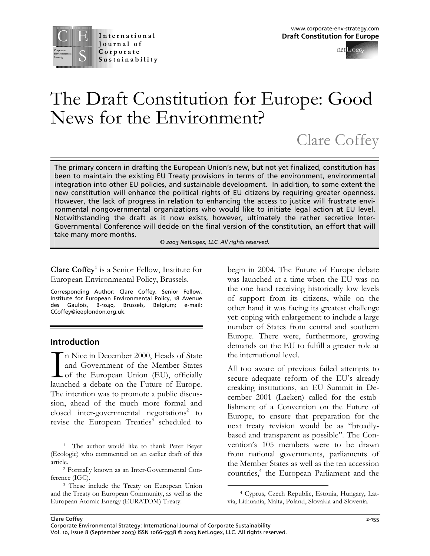

# The Draft Constitution for Europe: Good News for the Environment?

# Clare Coffey

The primary concern in drafting the European Union's new, but not yet finalized, constitution has been to maintain the existing EU Treaty provisions in terms of the environment, environmental integration into other EU policies, and sustainable development. In addition, to some extent the new constitution will enhance the political rights of EU citizens by requiring greater openness. However, the lack of progress in relation to enhancing the access to justice will frustrate environmental nongovernmental organizations who would like to initiate legal action at EU level. Notwithstanding the draft as it now exists, however, ultimately the rather secretive Inter-Governmental Conference will decide on the final version of the constitution, an effort that will take many more months.

*© 2003 NetLogex, LLC. All rights reserved.* 

Clare Coffey<sup>[1](#page-2-0)</sup> is a Senior Fellow, Institute for European Environmental Policy, Brussels.

Corresponding Author: Clare Coffey, Senior Fellow, Institute for European Environmental Policy, 18 Avenue des Gaulois, B-1040, Brussels, Belgium; e-mail: CCoffey@ieeplondon.org.uk.

## **Introd uction**

n Nice in December 2000, Heads of State and Government of the Member States of the European Union (EU), officially launched a debate on the Future of Europe. The intention was to promote a public discussion, ahead of the much more formal and closed inter-governmental negotiations [2](#page-2-1) to revise the European Treaties<sup>[3](#page-2-2)</sup> scheduled to In N<br>and<br>launche

begin in 2004. The Future of Europe debate was launched at a time when the EU was on the one hand receiving historically low levels of support from its citizens, while on the other hand it was facing its greatest challenge yet: coping with enlargement to include a large number of States from central and southern Europe. There were, furthermore, growing demands on the EU to fulfill a greater role at the international level.

All too aware of previous failed attempts to secure adequate reform of the EU's already creaking institutions, an EU Summit in December 2001 (Laeken) called for the establishment of a Convention on the Future of Europe, to ensure that preparation for the next treaty revision would be as "broadlybased and transparent as possible". The Convention's 105 members were to be drawn from national governments, parliaments of the Member States as well as the ten accession countries,<sup>[4](#page-2-3)</sup> the European Parliament and the

<span id="page-2-0"></span><sup>-</sup><sup>1</sup> The author would like to thank Peter Beyer (Ecologic) who commented on an earlier draft of this article.

<span id="page-2-1"></span><sup>2</sup> Formally known as an Inter-Governmental Conference (IGC).<br><sup>3</sup> These include the Treaty on European Union

<span id="page-2-2"></span>and the Treaty on European Community, as well as the European Atomic Energy (EURATOM) Treaty.

<span id="page-2-3"></span><sup>-</sup>4 Cyprus, Czech Republic, Estonia, Hungary, Latvia, Lithuania, Malta, Poland, Slovakia and Slovenia.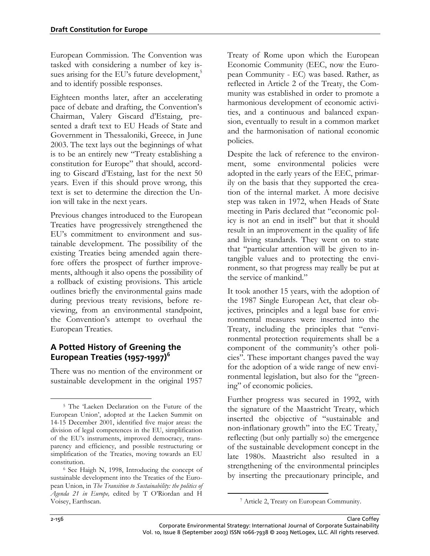European Commission. The Convention was tasked with considering a number of key issues arising for the EU's future development, $5$ and to identify possible responses.

Eighteen months later, after an accelerating pace of debate and drafting, the Convention's Chairman, Valery Giscard d'Estaing, presented a draft text to EU Heads of State and Government in Thessaloniki, Greece, in June 2003. The text lays out the beginnings of what is to be an entirely new "Treaty establishing a constitution for Europe" that should, according to Giscard d'Estaing, last for the next 50 years. Even if this should prove wrong, this text is set to determine the direction the Union will take in the next years.

Previous changes introduced to the European Treaties have progressively strengthened the EU's commitment to environment and sustainable development. The possibility of the existing Treaties being amended again therefore offers the prospect of further improvements, although it also opens the possibility of a rollback of existing provisions. This article outlines briefly the environmental gains made during previous treaty revisions, before reviewing, from an environmental standpoint, the Convention's attempt to overhaul the European Treaties.

# **A Potted History of Greening the European Treaties (1957-1997)<sup>6</sup>**

There was no mention of the envi[ro](#page-3-1)nment or sustainable development in the original 1957 Treaty of Rome upon which the European Economic Community (EEC, now the European Community - EC) was based. Rather, as reflected in Article 2 of the Treaty, the Community was established in order to promote a harmonious development of economic activities, and a continuous and balanced expansion, eventually to result in a common market and the harmonisation of national economic policies.

Despite the lack of reference to the environment, some environmental policies were adopted in the early years of the EEC, primarily on the basis that they supported the creation of the internal market. A more decisive step was taken in 1972, when Heads of State meeting in Paris declared that "economic policy is not an end in itself" but that it should result in an improvement in the quality of life and living standards. They went on to state that "particular attention will be given to intangible values and to protecting the environment, so that progress may really be put at the service of mankind."

It took another 15 years, with the adoption of the 1987 Single European Act, that clear objectives, principles and a legal base for environmental measures were inserted into the Treaty, including the principles that "environmental protection requirements shall be a component of the community's other policies". These important changes paved the way for the adoption of a wide range of new environmental legislation, but also for the "greening" of economic policies.

Further progress was secured in 1992, with the signature of the Maastricht Treaty, which inserted the objective of "sustainable and non-inflationary growth" into the EC Treaty, $^7$ reflecting (but only partially so) the emergence of the sustainable development concept in the late 1980s. Maastricht also resulted in a strengthening of the environmental principles by inserting the precautionary principle, and

-

<span id="page-3-0"></span> $\overline{a}$ <sup>5</sup> The 'Laeken Declaration on the Future of the European Union', adopted at the Laeken Summit on 14-15 December 2001, identified five major areas: the division of legal competences in the EU, simplification of the EU's instruments, improved democracy, transparency and efficiency, and possible restructuring or simplification of the Treaties, moving towards an EU constitution.<br><sup>6</sup> See Haigh N, 1998, Introducing the concept of

<span id="page-3-1"></span>sustainable development into the Treaties of the European Union, in *The Transition to Sustainability: the politics of Agenda 21 in Europe,* edited by T O'Riordan and H Voisey, Earthscan.

<span id="page-3-2"></span><sup>7</sup> Article 2, Treaty on European Community.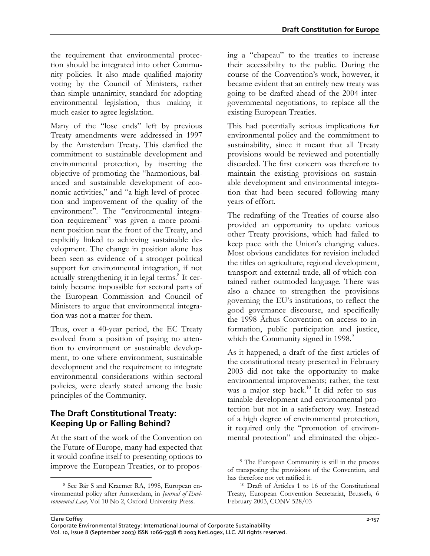the requirement that environmental protection should be integrated into other Community policies. It also made qualified majority voting by the Council of Ministers, rather than simple unanimity, standard for adopting environmental legislation, thus making it much easier to agree legislation.

Many of the "lose ends" left by previous Treaty amendments were addressed in 1997 by the Amsterdam Treaty. This clarified the commitment to sustainable development and environmental protection, by inserting the objective of promoting the "harmonious, balanced and sustainable development of economic activities," and "a high level of protection and improvement of the quality of the environment". The "environmental integration requirement" was given a more prominent position near the front of the Treaty, and explicitly linked to achieving sustainable development. The change in position alone has been seen as evidence of a stronger political support for environmental integration, if not actuallystrengthening it in legal terms.<sup>8</sup> It certainly became impossible for sectoral parts of the European Commission and Council of Ministers to argue that environmental integration was not a matter for them.

Thus, over a 40-year period, the EC Treaty evolved from a position of paying no attention to environment or sustainable development, to one where environment, sustainable development and the requirement to integrate environmental considerations within sectoral policies, were clearly stated among the basic principles of the Community.

# **The Draft Constitutional Treaty: Keeping Up or Falling Behind?**

At the start of the work of the Convention on the Future of Europe, many had expected that it would confine itself to presenting options to improve the European Treaties, or to proposing a "chapeau" to the treaties to increase their accessibility to the public. During the course of the Convention's work, however, it became evident that an entirely new treaty was going to be drafted ahead of the 2004 intergovernmental negotiations, to replace all the existing European Treaties.

This had potentially serious implications for environmental policy and the commitment to sustainability, since it meant that all Treaty provisions would be reviewed and potentially discarded. The first concern was therefore to maintain the existing provisions on sustainable development and environmental integration that had been secured following many years of effort.

The redrafting of the Treaties of course also provided an opportunity to update various other Treaty provisions, which had failed to keep pace with the Union's changing values. Most obvious candidates for revision included the titles on agriculture, regional development, transport and external trade, all of which contained rather outmoded language. There was also a chance to strengthen the provisions governing the EU's institutions, to reflect the good governance discourse, and specifically the 1998 Århus Convention on access to information, public participation and justice, which the Community signed in 1998. $\degree$ 

As it happened, a draft of the first articles of the constitutional treaty presented in February 2003 did not take the opportunity to make environmental improvements; rather, the text was a major step back.<sup>10</sup> It did refer to sustainable development and environmental protection but not in a satisfactory way. Instead of a high degree of environmental protection, it required only the "promotion of environmental protection" and eliminated the objec-

-

<span id="page-4-0"></span><sup>-</sup>8 See Bär S and Kraemer RA, 1998, European environmental policy after Amsterdam, in *Journal of Environmental Law,* Vol 10 No 2, Oxford University Press.

<span id="page-4-1"></span><sup>9</sup> The European Community is still in the process of transposing the provisions of the Convention, and has therefore not yet ratified it.<br><sup>10</sup> Draft of Articles 1 to 16 of the Constitutional

<span id="page-4-2"></span>Treaty, European Convention Secretariat, Brussels, 6 February 2003, CONV 528/03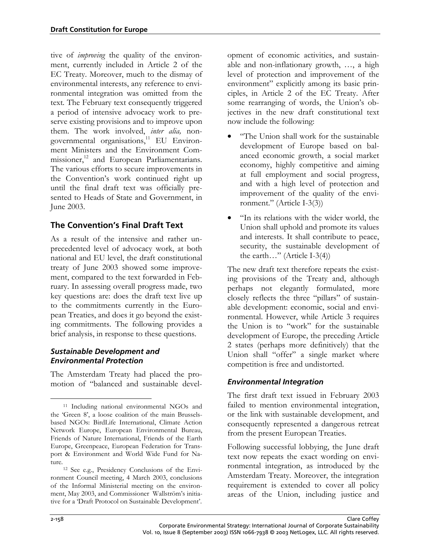tive of *improving* the quality of the environment, currently included in Article 2 of the EC Treaty. Moreover, much to the dismay of environmental interests, any reference to environmental integration was omitted from the text*.* The February text consequently triggered a period of intensive advocacy work to preserve existing provisions and to improve upon them. The work involved, *inter alia,* nongovernmental organisations,<sup>11</sup> EU Environment Ministers and the Environment Commissioner,<sup>12</sup> and European Parliamentarians. The various efforts to secure improvements in the Convention's work continued right up until the final draft text was officially presented to Heads of State and Government, in June 2003.

# **The Convention's Final Draft Text**

As a result of the intensive and rather unprecedented level of advocacy work, at both national and EU level, the draft constitutional treaty of June 2003 showed some improvement, compared to the text forwarded in February. In assessing overall progress made, two key questions are: does the draft text live up to the commitments currently in the European Treaties, and does it go beyond the existing commitments. The following provides a brief analysis, in response to these questions.

## *Sustainable Development and Environmental Protection*

The Amsterdam Treaty had placed the promotion of "balanced and sustainable development of economic activities, and sustainable and non-inflationary growth, …, a high level of protection and improvement of the environment" explicitly among its basic principles, in Article 2 of the EC Treaty. After some rearranging of words, the Union's objectives in the new draft constitutional text now include the following:

- "The Union shall work for the sustainable development of Europe based on balanced economic growth, a social market economy, highly competitive and aiming at full employment and social progress, and with a high level of protection and improvement of the quality of the environment." (Article I-3(3))
- "In its relations with the wider world, the Union shall uphold and promote its values and interests. It shall contribute to peace, security, the sustainable development of the earth…" (Article I-3(4))

The new draft text therefore repeats the existing provisions of the Treaty and, although perhaps not elegantly formulated, more closely reflects the three "pillars" of sustainable development: economic, social and environmental. However, while Article 3 requires the Union is to "work" for the sustainable development of Europe, the preceding Article 2 states (perhaps more definitively) that the Union shall "offer" a single market where competition is free and undistorted.

## *Environmental Integration*

The first draft text issued in February 2003 failed to mention environmental integration, or the link with sustainable development, and consequently represented a dangerous retreat from the present European Treaties.

Following successful lobbying, the June draft text now repeats the exact wording on environmental integration, as introduced by the Amsterdam Treaty. Moreover, the integration requirement is extended to cover all policy areas of the Union, including justice and

<span id="page-5-0"></span> <sup>11</sup> Including national environmental NGOs and the 'Green 8', a loose coalition of the main Brusselsbased NGOs: BirdLife International, Climate Action Network Europe, European Environmental Bureau, Friends of Nature International, Friends of the Earth Europe, Greenpeace, European Federation for Transport & Environment and World Wide Fund for Nature.

<span id="page-5-1"></span><sup>12</sup> See e.g., Presidency Conclusions of the Environment Council meeting, 4 March 2003, conclusions of the Informal Ministerial meeting on the environment, May 2003, and Commissioner Wallström's initiative for a 'Draft Protocol on Sustainable Development'.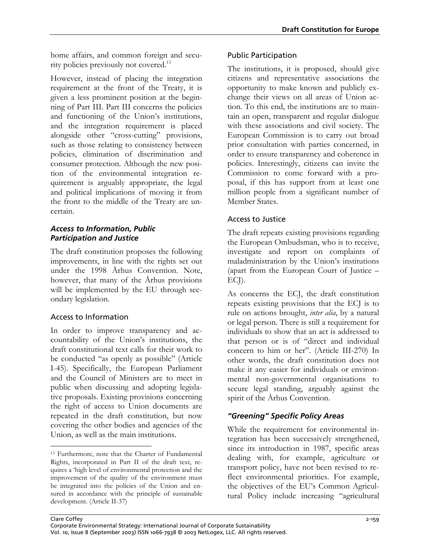home affairs, and common foreign and security policies previously not covered.<sup>13</sup>

However, instead of placing the integration requirement at the front of the Treaty, it is given a less prominent position at the beginning of Part III. Part III concerns the policies and functioning of the Union's institutions, and the integration requirement is placed alongside other "cross-cutting" provisions, such as those relating to consistency between policies, elimination of discrimination and consumer protection. Although the new position of the environmental integration requirement is arguably appropriate, the legal and political implications of moving it from the front to the middle of the Treaty are uncertain.

## *Access to Information, Public Participation and Justice*

The draft constitution proposes the following improvements, in line with the rights set out under the 1998 Århus Convention. Note, however, that many of the Århus provisions will be implemented by the EU through secondary legislation.

## Access to Information

In order to improve transparency and accountability of the Union's institutions, the draft constitutional text calls for their work to be conducted "as openly as possible" (Article I-45). Specifically, the European Parliament and the Council of Ministers are to meet in public when discussing and adopting legislative proposals. Existing provisions concerning the right of access to Union documents are repeated in the draft constitution, but now covering the other bodies and agencies of the Union, as well as the main institutions.

## Public Participation

The institutions, it is proposed, should give citizens and representative associations the opportunity to make known and publicly exchange their views on all areas of Union action. To this end, the institutions are to maintain an open, transparent and regular dialogue with these associations and civil society. The European Commission is to carry out broad prior consultation with parties concerned, in order to ensure transparency and coherence in policies. Interestingly, citizens can invite the Commission to come forward with a proposal, if this has support from at least one million people from a significant number of Member States.

## Access to Justice

The draft repeats existing provisions regarding the European Ombudsman, who is to receive, investigate and report on complaints of maladministration by the Union's institutions (apart from the European Court of Justice – ECJ).

As concerns the ECJ, the draft constitution repeats existing provisions that the ECJ is to rule on actions brought, *inter alia*, by a natural or legal person. There is still a requirement for individuals to show that an act is addressed to that person or is of "direct and individual concern to him or her". (Article III-270) In other words, the draft constitution does not make it any easier for individuals or environmental non-governmental organisations to secure legal standing, arguably against the spirit of the Århus Convention.

# *"Greening" Specific Policy Areas*

While the requirement for environmental integration has been successively strengthened, since its introduction in 1987, specific areas dealing with, for example, agriculture or transport policy, have not been revised to reflect environmental priorities. For example, the objectives of the EU's Common Agricultural Policy include increasing "agricultural

<span id="page-6-0"></span> <sup>13</sup> Furthermore, note that the Charter of Fundamental Rights, incorporated in Part II of the draft text, requires a 'high level of environmental protection and the improvement of the quality of the environment must be integrated into the policies of the Union and ensured in accordance with the principle of sustainable development. (Article II-37)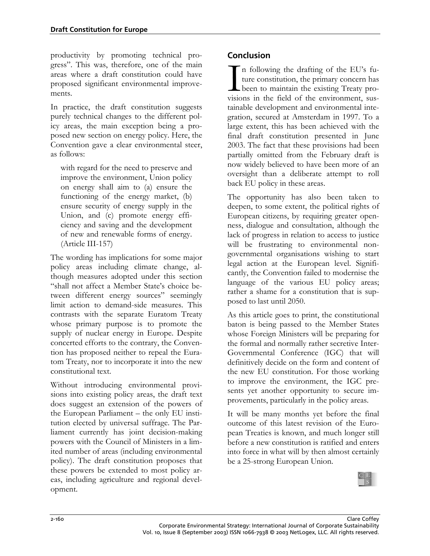productivity by promoting technical progress". This was, therefore, one of the main areas where a draft constitution could have proposed significant environmental improvements.

In practice, the draft constitution suggests purely technical changes to the different policy areas, the main exception being a proposed new section on energy policy. Here, the Convention gave a clear environmental steer, as follows:

with regard for the need to preserve and improve the environment, Union policy on energy shall aim to (a) ensure the functioning of the energy market, (b) ensure security of energy supply in the Union, and (c) promote energy efficiency and saving and the development of new and renewable forms of energy. (Article III-157)

The wording has implications for some major policy areas including climate change, although measures adopted under this section "shall not affect a Member State's choice between different energy sources" seemingly limit action to demand-side measures. This contrasts with the separate Euratom Treaty whose primary purpose is to promote the supply of nuclear energy in Europe. Despite concerted efforts to the contrary, the Convention has proposed neither to repeal the Euratom Treaty, nor to incorporate it into the new constitutional text.

Without introducing environmental provisions into existing policy areas, the draft text does suggest an extension of the powers of the European Parliament – the only EU institution elected by universal suffrage. The Parliament currently has joint decision-making powers with the Council of Ministers in a limited number of areas (including environmental policy). The draft constitution proposes that these powers be extended to most policy areas, including agriculture and regional development.

# **Con clusion**

n following the drafting of the EU's future constitution, the primary concern has been to maintain the existing Treaty pro-In following the drafting of the EU's future constitution, the primary concern has been to maintain the existing Treaty provisions in the field of the environment, sustainable development and environmental integration, secured at Amsterdam in 1997. To a large extent, this has been achieved with the final draft constitution presented in June 2003. The fact that these provisions had been partially omitted from the February draft is now widely believed to have been more of an oversight than a deliberate attempt to roll back EU policy in these areas.

The opportunity has also been taken to deepen, to some extent, the political rights of European citizens, by requiring greater openness, dialogue and consultation, although the lack of progress in relation to access to justice will be frustrating to environmental nongovernmental organisations wishing to start legal action at the European level. Significantly, the Convention failed to modernise the language of the various EU policy areas; rather a shame for a constitution that is supposed to last until 2050.

As this article goes to print, the constitutional baton is being passed to the Member States whose Foreign Ministers will be preparing for the formal and normally rather secretive Inter-Governmental Conference (IGC) that will definitively decide on the form and content of the new EU constitution. For those working to improve the environment, the IGC presents yet another opportunity to secure improvements, particularly in the policy areas.

It will be many months yet before the final outcome of this latest revision of the European Treaties is known, and much longer still before a new constitution is ratified and enters into force in what will by then almost certainly be a 25-strong European Union.

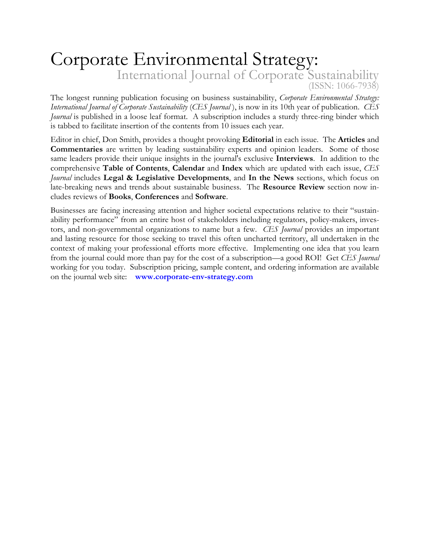# Corporate Environmental Strategy: International Journal of Corporate Sustainability (ISSN: 1066-7938)

The longest running publication focusing on business sustainability, *Corporate Environmental Strategy: International Journal of Corporate Sustainability* (*CES Journal* ), is now in its 10th year of publication. *CES Journal* is published in a loose leaf format. A subscription includes a sturdy three-ring binder which is tabbed to facilitate insertion of the contents from 10 issues each year.

Editor in chief, Don Smith, provides a thought provoking **Editorial** in each issue. The **Articles** and **Commentaries** are written by leading sustainability experts and opinion leaders. Some of those same leaders provide their unique insights in the journal's exclusive **Interviews**. In addition to the comprehensive **Table of Contents**, **Calendar** and **Index** which are updated with each issue, *CES Journal* includes **Legal & Legislative Developments**, and **In the News** sections, which focus on late-breaking news and trends about sustainable business. The **Resource Review** section now includes reviews of **Books**, **Conferences** and **Software**.

Businesses are facing increasing attention and higher societal expectations relative to their "sustainability performance" from an entire host of stakeholders including regulators, policy-makers, investors, and non-governmental organizations to name but a few. *CES Journal* provides an important and lasting resource for those seeking to travel this often uncharted territory, all undertaken in the context of making your professional efforts more effective. Implementing one idea that you learn from the journal could more than pay for the cost of a subscription—a good ROI! Get *CES Journal* working for you today. Subscription pricing, sample content, and ordering information are available on the journal web site: **[www.corporate-env-strategy.com](http://www.corporate-env-strategy.com/)**